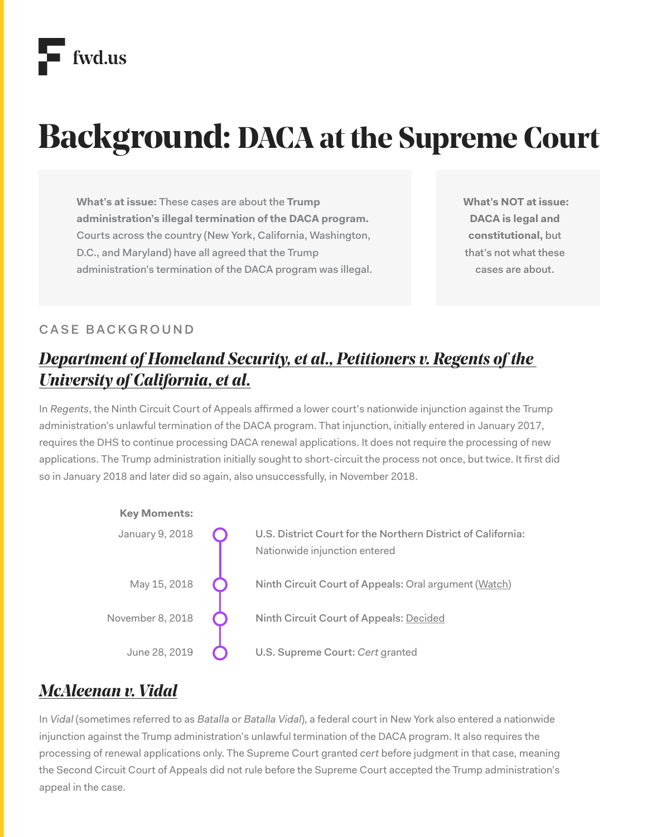# **Background: DACA at the Supreme Court**

**What's at issue:** These cases are about the **Trump administration's illegal termination of the DACA program.** Courts across the country (New York, California, Washington, D.C., and Maryland) have all agreed that the Trump administration's termination of the DACA program was illegal. **What's NOT at issue: DACA is legal and constitutional,** but that's not what these cases are about.

#### CASE BACKGROUND

# *[Department of Homeland Security, et al., Petitioners v. Regents of the](https://www.scotusblog.com/case-files/cases/department-of-homeland-security-v-regents-of-the-university-of-california/)  [University of California, et al.](https://www.scotusblog.com/case-files/cases/department-of-homeland-security-v-regents-of-the-university-of-california/)*

In *Regents*, the Ninth Circuit Court of Appeals affirmed a lower court's nationwide injunction against the Trump administration's unlawful termination of the DACA program. That injunction, initially entered in January 2017, requires the DHS to continue processing DACA renewal applications. It does not require the processing of new applications. The Trump administration initially sought to short-circuit the process not once, but twice. It first did so in January 2018 and later did so again, also unsuccessfully, in November 2018.



## *[McAleenan v. Vidal](https://www.scotusblog.com/case-files/cases/nielsen-v-vidal/)*

In *Vidal* (sometimes referred to as *Batalla* or *Batalla Vidal*), a federal court in New York also entered a nationwide injunction against the Trump administration's unlawful termination of the DACA program. It also requires the processing of renewal applications only. The Supreme Court granted *cert* before judgment in that case, meaning the Second Circuit Court of Appeals did not rule before the Supreme Court accepted the Trump administration's appeal in the case.